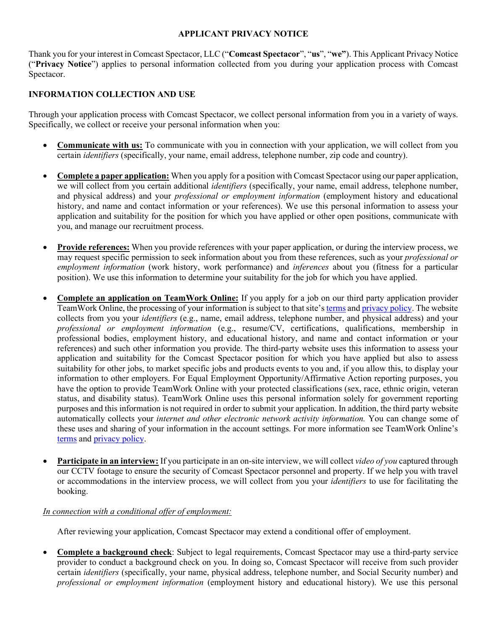#### **APPLICANT PRIVACY NOTICE**

Thank you for your interest in Comcast Spectacor, LLC ("**Comcast Spectacor**", "**us**", "**we"**). This Applicant Privacy Notice ("**Privacy Notice**") applies to personal information collected from you during your application process with Comcast Spectacor.

# **INFORMATION COLLECTION AND USE**

Through your application process with Comcast Spectacor, we collect personal information from you in a variety of ways. Specifically, we collect or receive your personal information when you:

- **Communicate with us:** To communicate with you in connection with your application, we will collect from you certain *identifiers* (specifically, your name, email address, telephone number, zip code and country).
- **Complete a paper application:** When you apply for a position with Comcast Spectacor using our paper application, we will collect from you certain additional *identifiers* (specifically, your name, email address, telephone number, and physical address) and your *professional or employment information* (employment history and educational history, and name and contact information or your references). We use this personal information to assess your application and suitability for the position for which you have applied or other open positions, communicate with you, and manage our recruitment process.
- **Provide references:** When you provide references with your paper application, or during the interview process, we may request specific permission to seek information about you from these references, such as your *professional or employment information* (work history, work performance) and *inferences* about you (fitness for a particular position). We use this information to determine your suitability for the job for which you have applied.
- **Complete an application on TeamWork Online:** If you apply for a job on our third party application provider TeamWork Online, the processing of your information is subject to that site'[s terms](https://www.teamworkonline.com/pages/terms-and-conditions) an[d privacy policy.](https://www.teamworkonline.com/pages/privacy-policy) The website collects from you your *identifiers* (e.g., name, email address, telephone number, and physical address) and your *professional or employment information* (e.g., resume/CV, certifications, qualifications, membership in professional bodies, employment history, and educational history, and name and contact information or your references) and such other information you provide. The third-party website uses this information to assess your application and suitability for the Comcast Spectacor position for which you have applied but also to assess suitability for other jobs, to market specific jobs and products events to you and, if you allow this, to display your information to other employers. For Equal Employment Opportunity/Affirmative Action reporting purposes, you have the option to provide TeamWork Online with your protected classifications (sex, race, ethnic origin, veteran status, and disability status). TeamWork Online uses this personal information solely for government reporting purposes and this information is not required in order to submit your application. In addition, the third party website automatically collects your *internet and other electronic network activity information.* You can change some of these uses and sharing of your information in the account settings. For more information see TeamWork Online's [terms](https://www.teamworkonline.com/pages/terms-and-conditions) and [privacy policy.](https://www.teamworkonline.com/pages/privacy-policy)
- **Participate in an interview:** If you participate in an on-site interview, we will collect *video of you* captured through our CCTV footage to ensure the security of Comcast Spectacor personnel and property. If we help you with travel or accommodations in the interview process, we will collect from you your *identifiers* to use for facilitating the booking.

## *In connection with a conditional offer of employment:*

After reviewing your application, Comcast Spectacor may extend a conditional offer of employment.

• **Complete a background check**: Subject to legal requirements, Comcast Spectacor may use a third-party service provider to conduct a background check on you. In doing so, Comcast Spectacor will receive from such provider certain *identifiers* (specifically, your name, physical address, telephone number, and Social Security number) and *professional or employment information* (employment history and educational history). We use this personal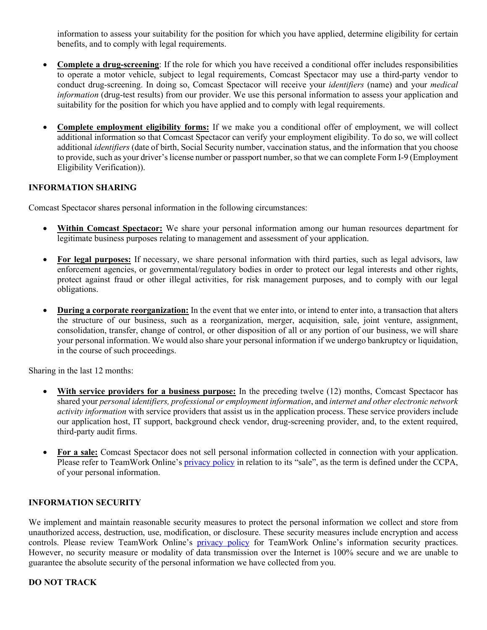information to assess your suitability for the position for which you have applied, determine eligibility for certain benefits, and to comply with legal requirements.

- **Complete a drug-screening**: If the role for which you have received a conditional offer includes responsibilities to operate a motor vehicle, subject to legal requirements, Comcast Spectacor may use a third-party vendor to conduct drug-screening. In doing so, Comcast Spectacor will receive your *identifiers* (name) and your *medical information* (drug-test results) from our provider. We use this personal information to assess your application and suitability for the position for which you have applied and to comply with legal requirements.
- **Complete employment eligibility forms:** If we make you a conditional offer of employment, we will collect additional information so that Comcast Spectacor can verify your employment eligibility. To do so, we will collect additional *identifiers* (date of birth, Social Security number, vaccination status, and the information that you choose to provide, such as your driver's license number or passport number, so that we can complete Form I-9 (Employment Eligibility Verification)).

### **INFORMATION SHARING**

Comcast Spectacor shares personal information in the following circumstances:

- **Within Comcast Spectacor:** We share your personal information among our human resources department for legitimate business purposes relating to management and assessment of your application.
- **For legal purposes:** If necessary, we share personal information with third parties, such as legal advisors, law enforcement agencies, or governmental/regulatory bodies in order to protect our legal interests and other rights, protect against fraud or other illegal activities, for risk management purposes, and to comply with our legal obligations.
- **During a corporate reorganization:** In the event that we enter into, or intend to enter into, a transaction that alters the structure of our business, such as a reorganization, merger, acquisition, sale, joint venture, assignment, consolidation, transfer, change of control, or other disposition of all or any portion of our business, we will share your personal information. We would also share your personal information if we undergo bankruptcy or liquidation, in the course of such proceedings.

Sharing in the last 12 months:

- **With service providers for a business purpose:** In the preceding twelve (12) months, Comcast Spectacor has shared your *personal identifiers, professional or employment information*, and *internet and other electronic network activity information* with service providers that assist us in the application process. These service providers include our application host, IT support, background check vendor, drug-screening provider, and, to the extent required, third-party audit firms.
- **For a sale:** Comcast Spectacor does not sell personal information collected in connection with your application. Please refer to TeamWork Online's [privacy policy](https://www.teamworkonline.com/pages/privacy-policy) in relation to its "sale", as the term is defined under the CCPA, of your personal information.

#### **INFORMATION SECURITY**

We implement and maintain reasonable security measures to protect the personal information we collect and store from unauthorized access, destruction, use, modification, or disclosure. These security measures include encryption and access controls. Please review TeamWork Online's [privacy policy](https://www.teamworkonline.com/pages/privacy-policy) for TeamWork Online's information security practices. However, no security measure or modality of data transmission over the Internet is 100% secure and we are unable to guarantee the absolute security of the personal information we have collected from you.

#### **DO NOT TRACK**